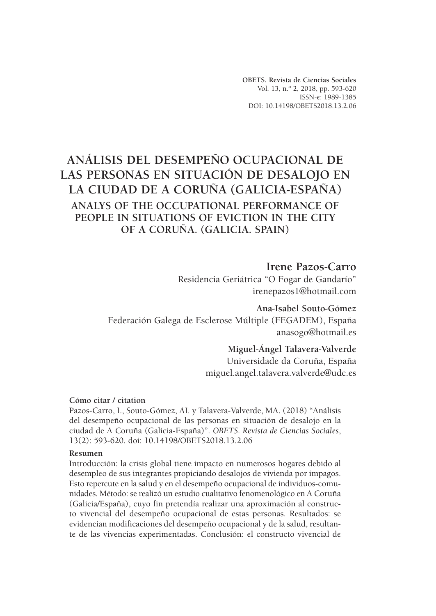**OBETS. Revista de Ciencias Sociales** Vol. 13, n.º 2, 2018, pp. 593-620 ISSN-e: 1989-1385 DOI: 10.14198/OBETS2018.13.2.06

# **ANÁLISIS DEL DESEMPEÑO OCUPACIONAL DE LAS PERSONAS EN SITUACIÓN DE DESALOJO EN LA CIUDAD DE A CORUÑA (GALICIA-ESPAÑA) ANALYS OF THE OCCUPATIONAL PERFORMANCE OF PEOPLE IN SITUATIONS OF EVICTION IN THE CITY OF A CORUÑA. (GALICIA. SPAIN)**

# **Irene Pazos-Carro**

Residencia Geriátrica "O Fogar de Gandarío" irenepazos1@hotmail.com

**Ana-Isabel Souto-Gómez** Federación Galega de Esclerose Múltiple (FEGADEM), España anasogo@hotmail.es

#### **Miguel-Ángel Talavera-Valverde**

Universidade da Coruña, España miguel.angel.talavera.valverde@udc.es

#### **Cómo citar / citation**

Pazos-Carro, I., Souto-Gómez, AI. y Talavera-Valverde, MA. (2018) "Análisis del desempeño ocupacional de las personas en situación de desalojo en la ciudad de A Coruña (Galicia-España)". *OBETS. Revista de Ciencias Sociales*, 13(2): 593-620. doi: 10.14198/OBETS2018.13.2.06

#### **Resumen**

Introducción: la crisis global tiene impacto en numerosos hogares debido al desempleo de sus integrantes propiciando desalojos de vivienda por impagos. Esto repercute en la salud y en el desempeño ocupacional de individuos-comunidades. Método: se realizó un estudio cualitativo fenomenológico en A Coruña (Galicia/España), cuyo fin pretendía realizar una aproximación al constructo vivencial del desempeño ocupacional de estas personas. Resultados: se evidencian modificaciones del desempeño ocupacional y de la salud, resultante de las vivencias experimentadas. Conclusión: el constructo vivencial de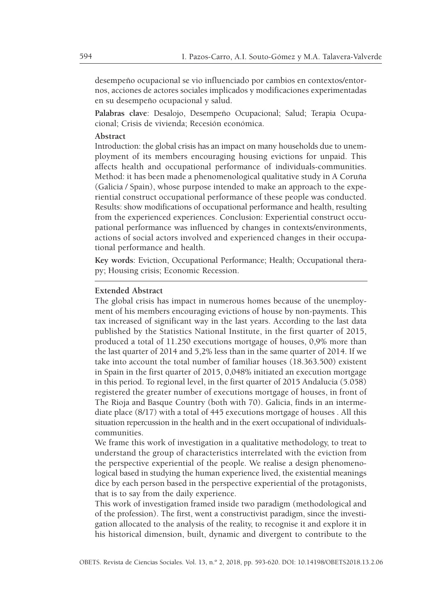desempeño ocupacional se vio influenciado por cambios en contextos/entornos, acciones de actores sociales implicados y modificaciones experimentadas en su desempeño ocupacional y salud.

**Palabras clave**: Desalojo, Desempeño Ocupacional; Salud; Terapia Ocupacional; Crisis de vivienda; Recesión económica.

#### **Abstract**

Introduction: the global crisis has an impact on many households due to unemployment of its members encouraging housing evictions for unpaid. This affects health and occupational performance of individuals-communities. Method: it has been made a phenomenological qualitative study in A Coruña (Galicia / Spain), whose purpose intended to make an approach to the experiential construct occupational performance of these people was conducted. Results: show modifications of occupational performance and health, resulting from the experienced experiences. Conclusion: Experiential construct occupational performance was influenced by changes in contexts/environments, actions of social actors involved and experienced changes in their occupational performance and health.

**Key words**: Eviction, Occupational Performance; Health; Occupational therapy; Housing crisis; Economic Recession.

#### **Extended Abstract**

The global crisis has impact in numerous homes because of the unemployment of his members encouraging evictions of house by non-payments. This tax increased of significant way in the last years. According to the last data published by the Statistics National Institute, in the first quarter of 2015, produced a total of 11.250 executions mortgage of houses, 0,9% more than the last quarter of 2014 and 5,2% less than in the same quarter of 2014. If we take into account the total number of familiar houses (18.363.500) existent in Spain in the first quarter of 2015, 0,048% initiated an execution mortgage in this period. To regional level, in the first quarter of 2015 Andalucia (5.058) registered the greater number of executions mortgage of houses, in front of The Rioja and Basque Country (both with 70). Galicia, finds in an intermediate place (8/17) with a total of 445 executions mortgage of houses . All this situation repercussion in the health and in the exert occupational of individualscommunities.

We frame this work of investigation in a qualitative methodology, to treat to understand the group of characteristics interrelated with the eviction from the perspective experiential of the people. We realise a design phenomenological based in studying the human experience lived, the existential meanings dice by each person based in the perspective experiential of the protagonists, that is to say from the daily experience.

This work of investigation framed inside two paradigm (methodological and of the profession). The first, went a constructivist paradigm, since the investigation allocated to the analysis of the reality, to recognise it and explore it in his historical dimension, built, dynamic and divergent to contribute to the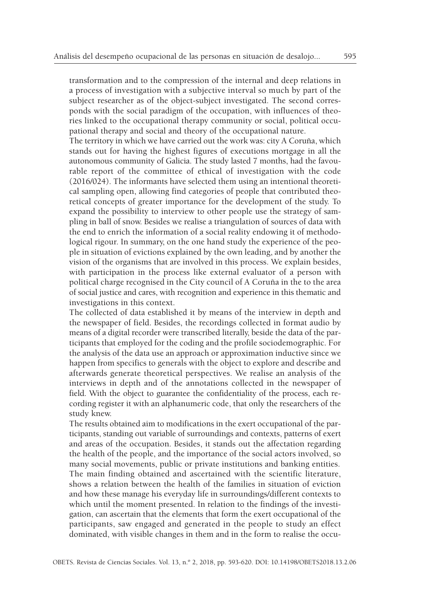transformation and to the compression of the internal and deep relations in a process of investigation with a subjective interval so much by part of the subject researcher as of the object-subject investigated. The second corresponds with the social paradigm of the occupation, with influences of theories linked to the occupational therapy community or social, political occupational therapy and social and theory of the occupational nature.

The territory in which we have carried out the work was: city A Coruña, which stands out for having the highest figures of executions mortgage in all the autonomous community of Galicia. The study lasted 7 months, had the favourable report of the committee of ethical of investigation with the code (2016/024). The informants have selected them using an intentional theoretical sampling open, allowing find categories of people that contributed theoretical concepts of greater importance for the development of the study. To expand the possibility to interview to other people use the strategy of sampling in ball of snow. Besides we realise a triangulation of sources of data with the end to enrich the information of a social reality endowing it of methodological rigour. In summary, on the one hand study the experience of the people in situation of evictions explained by the own leading, and by another the vision of the organisms that are involved in this process. We explain besides, with participation in the process like external evaluator of a person with political charge recognised in the City council of A Coruña in the to the area of social justice and cares, with recognition and experience in this thematic and investigations in this context.

The collected of data established it by means of the interview in depth and the newspaper of field. Besides, the recordings collected in format audio by means of a digital recorder were transcribed literally, beside the data of the participants that employed for the coding and the profile sociodemographic. For the analysis of the data use an approach or approximation inductive since we happen from specifics to generals with the object to explore and describe and afterwards generate theoretical perspectives. We realise an analysis of the interviews in depth and of the annotations collected in the newspaper of field. With the object to guarantee the confidentiality of the process, each recording register it with an alphanumeric code, that only the researchers of the study knew.

The results obtained aim to modifications in the exert occupational of the participants, standing out variable of surroundings and contexts, patterns of exert and areas of the occupation. Besides, it stands out the affectation regarding the health of the people, and the importance of the social actors involved, so many social movements, public or private institutions and banking entities. The main finding obtained and ascertained with the scientific literature, shows a relation between the health of the families in situation of eviction and how these manage his everyday life in surroundings/different contexts to which until the moment presented. In relation to the findings of the investigation, can ascertain that the elements that form the exert occupational of the participants, saw engaged and generated in the people to study an effect dominated, with visible changes in them and in the form to realise the occu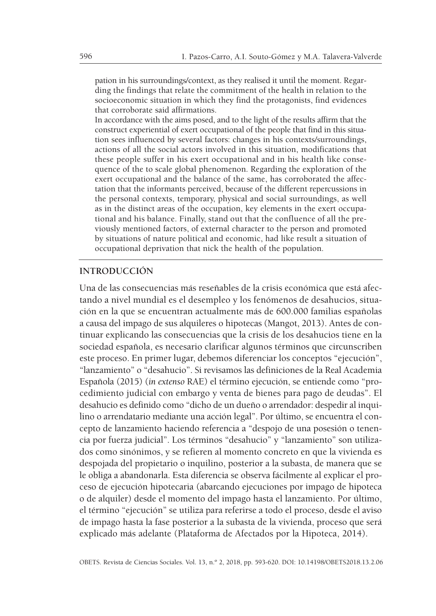pation in his surroundings/context, as they realised it until the moment. Regarding the findings that relate the commitment of the health in relation to the socioeconomic situation in which they find the protagonists, find evidences that corroborate said affirmations.

In accordance with the aims posed, and to the light of the results affirm that the construct experiential of exert occupational of the people that find in this situation sees influenced by several factors: changes in his contexts/surroundings, actions of all the social actors involved in this situation, modifications that these people suffer in his exert occupational and in his health like consequence of the to scale global phenomenon. Regarding the exploration of the exert occupational and the balance of the same, has corroborated the affectation that the informants perceived, because of the different repercussions in the personal contexts, temporary, physical and social surroundings, as well as in the distinct areas of the occupation, key elements in the exert occupational and his balance. Finally, stand out that the confluence of all the previously mentioned factors, of external character to the person and promoted by situations of nature political and economic, had like result a situation of occupational deprivation that nick the health of the population.

#### **INTRODUCCIÓN**

Una de las consecuencias más reseñables de la crisis económica que está afectando a nivel mundial es el desempleo y los fenómenos de desahucios, situación en la que se encuentran actualmente más de 600.000 familias españolas a causa del impago de sus alquileres o hipotecas (Mangot, 2013). Antes de continuar explicando las consecuencias que la crisis de los desahucios tiene en la sociedad española, es necesario clarificar algunos términos que circunscriben este proceso. En primer lugar, debemos diferenciar los conceptos "ejecución", "lanzamiento" o "desahucio". Si revisamos las definiciones de la Real Academia Española (2015) (*in extenso* RAE) el término ejecución, se entiende como "procedimiento judicial con embargo y venta de bienes para pago de deudas". El desahucio es definido como "dicho de un dueño o arrendador: despedir al inquilino o arrendatario mediante una acción legal". Por último, se encuentra el concepto de lanzamiento haciendo referencia a "despojo de una posesión o tenencia por fuerza judicial". Los términos "desahucio" y "lanzamiento" son utilizados como sinónimos, y se refieren al momento concreto en que la vivienda es despojada del propietario o inquilino, posterior a la subasta, de manera que se le obliga a abandonarla. Esta diferencia se observa fácilmente al explicar el proceso de ejecución hipotecaria (abarcando ejecuciones por impago de hipoteca o de alquiler) desde el momento del impago hasta el lanzamiento. Por último, el término "ejecución" se utiliza para referirse a todo el proceso, desde el aviso de impago hasta la fase posterior a la subasta de la vivienda, proceso que será explicado más adelante (Plataforma de Afectados por la Hipoteca, 2014).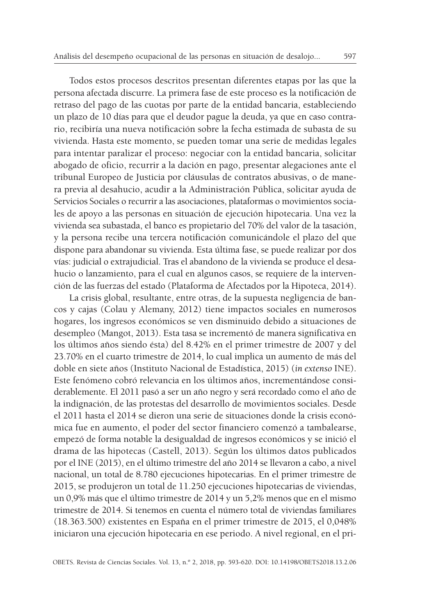Todos estos procesos descritos presentan diferentes etapas por las que la persona afectada discurre. La primera fase de este proceso es la notificación de retraso del pago de las cuotas por parte de la entidad bancaria, estableciendo un plazo de 10 días para que el deudor pague la deuda, ya que en caso contrario, recibiría una nueva notificación sobre la fecha estimada de subasta de su vivienda. Hasta este momento, se pueden tomar una serie de medidas legales para intentar paralizar el proceso: negociar con la entidad bancaria, solicitar abogado de oficio, recurrir a la dación en pago, presentar alegaciones ante el tribunal Europeo de Justicia por cláusulas de contratos abusivas, o de manera previa al desahucio, acudir a la Administración Pública, solicitar ayuda de Servicios Sociales o recurrir a las asociaciones, plataformas o movimientos sociales de apoyo a las personas en situación de ejecución hipotecaria. Una vez la vivienda sea subastada, el banco es propietario del 70% del valor de la tasación, y la persona recibe una tercera notificación comunicándole el plazo del que dispone para abandonar su vivienda. Esta última fase, se puede realizar por dos vías: judicial o extrajudicial. Tras el abandono de la vivienda se produce el desa hucio o lanzamiento, para el cual en algunos casos, se requiere de la intervención de las fuerzas del estado (Plataforma de Afectados por la Hipoteca, 2014).

La crisis global, resultante, entre otras, de la supuesta negligencia de bancos y cajas (Colau y Alemany, 2012) tiene impactos sociales en numerosos hogares, los ingresos económicos se ven disminuido debido a situaciones de desempleo (Mangot, 2013). Esta tasa se incrementó de manera significativa en los últimos años siendo ésta) del 8.42% en el primer trimestre de 2007 y del 23.70% en el cuarto trimestre de 2014, lo cual implica un aumento de más del doble en siete años (Instituto Nacional de Estadística, 2015) (*in extenso* INE). Este fenómeno cobró relevancia en los últimos años, incrementándose considerablemente. El 2011 pasó a ser un año negro y será recordado como el año de la indignación, de las protestas del desarrollo de movimientos sociales. Desde el 2011 hasta el 2014 se dieron una serie de situaciones donde la crisis económica fue en aumento, el poder del sector financiero comenzó a tambalearse, empezó de forma notable la desigualdad de ingresos económicos y se inició el drama de las hipotecas (Castell, 2013). Según los últimos datos publicados por el INE (2015), en el último trimestre del año 2014 se llevaron a cabo, a nivel nacional, un total de 8.780 ejecuciones hipotecarias. En el primer trimestre de 2015, se produjeron un total de 11.250 ejecuciones hipotecarias de viviendas, un 0,9% más que el último trimestre de 2014 y un 5,2% menos que en el mismo trimestre de 2014. Si tenemos en cuenta el número total de viviendas familiares (18.363.500) existentes en España en el primer trimestre de 2015, el 0,048% iniciaron una ejecución hipotecaria en ese periodo. A nivel regional, en el pri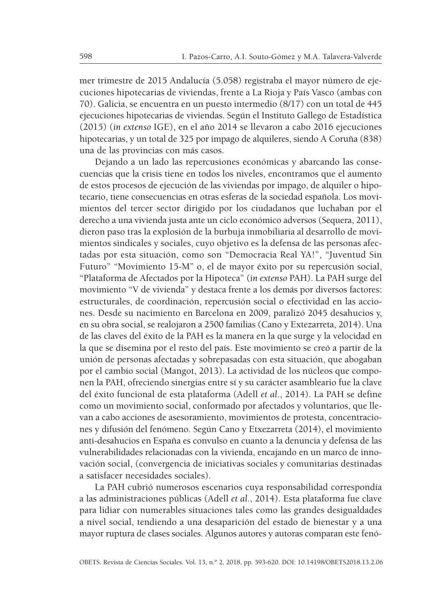mer trimestre de 2015 Andalucía (5.058) registraba el mayor número de ejecuciones hipotecarias de viviendas, frente a La Rioja y País Vasco (ambas con 70). Galicia, se encuentra en un puesto intermedio (8/17) con un total de 445 ejecuciones hipotecarias de viviendas. Según el Instituto Gallego de Estadística (2015) (*in extenso* IGE), en el año 2014 se llevaron a cabo 2016 ejecuciones hipotecarias, y un total de 325 por impago de alquileres, siendo A Coruña (838) una de las provincias con más casos.

Dejando a un lado las repercusiones económicas y abarcando las consecuencias que la crisis tiene en todos los niveles, encontramos que el aumento de estos procesos de ejecución de las viviendas por impago, de alquiler o hipotecario, tiene consecuencias en otras esferas de la sociedad española. Los movimientos del tercer sector dirigido por los ciudadanos que luchaban por el derecho a una vivienda justa ante un ciclo económico adversos (Sequera, 2011), dieron paso tras la explosión de la burbuja inmobiliaria al desarrollo de movimientos sindicales y sociales, cuyo objetivo es la defensa de las personas afectadas por esta situación, como son "Democracia Real YA!", "Juventud Sin Futuro" "Movimiento 15-M" o, el de mayor éxito por su repercusión social, "Plataforma de Afectados por la Hipoteca" (*in extenso* PAH). La PAH surge del movimiento "V de vivienda" y destaca frente a los demás por diversos factores: estructurales, de coordinación, repercusión social o efectividad en las acciones. Desde su nacimiento en Barcelona en 2009, paralizó 2045 desahucios y, en su obra social, se realojaron a 2500 familias (Cano y Extezarreta, 2014). Una de las claves del éxito de la PAH es la manera en la que surge y la velocidad en la que se disemina por el resto del país. Este movimiento se creó a partir de la unión de personas afectadas y sobrepasadas con esta situación, que abogaban por el cambio social (Mangot, 2013). La actividad de los núcleos que componen la PAH, ofreciendo sinergias entre sí y su carácter asambleario fue la clave del éxito funcional de esta plataforma (Adell *et al.*, 2014). La PAH se define como un movimiento social, conformado por afectados y voluntarios, que llevan a cabo acciones de asesoramiento, movimientos de protesta, concentraciones y difusión del fenómeno. Según Cano y Etxezarreta (2014), el movimiento anti-desahucios en España es convulso en cuanto a la denuncia y defensa de las vulnerabilidades relacionadas con la vivienda, encajando en un marco de innovación social, (convergencia de iniciativas sociales y comunitarias destinadas a satisfacer necesidades sociales).

La PAH cubrió numerosos escenarios cuya responsabilidad correspondía a las administraciones públicas (Adell *et al.*, 2014). Esta plataforma fue clave para lidiar con numerables situaciones tales como las grandes desigualdades a nivel social, tendiendo a una desaparición del estado de bienestar y a una mayor ruptura de clases sociales. Algunos autores y autoras comparan este fenó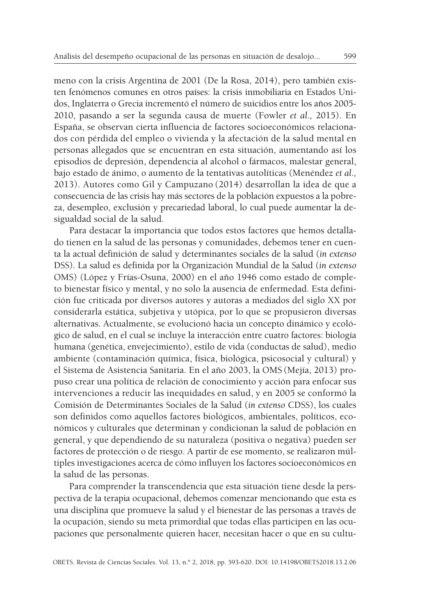meno con la crisis Argentina de 2001 (De la Rosa, 2014), pero también existen fenómenos comunes en otros países: la crisis inmobiliaria en Estados Unidos, Inglaterra o Grecia incrementó el número de suicidios entre los años 2005- 2010, pasando a ser la segunda causa de muerte (Fowler *et al.,* 2015). En España, se observan cierta influencia de factores socioeconómicos relacionados con pérdida del empleo o vivienda y la afectación de la salud mental en personas allegados que se encuentran en esta situación, aumentando así los episodios de depresión, dependencia al alcohol o fármacos, malestar general, bajo estado de ánimo, o aumento de la tentativas autolíticas (Menéndez *et al.,* 2013). Autores como Gil y Campuzano (2014) desarrollan la idea de que a consecuencia de las crisis hay más sectores de la población expuestos a la pobreza, desempleo, exclusión y precariedad laboral, lo cual puede aumentar la desigualdad social de la salud.

Para destacar la importancia que todos estos factores que hemos detallado tienen en la salud de las personas y comunidades, debemos tener en cuenta la actual definición de salud y determinantes sociales de la salud (*in extenso* DSS). La salud es definida por la Organización Mundial de la Salud (*in extenso* OMS) (López y Frías-Osuna, 2000) en el año 1946 como estado de completo bienestar físico y mental, y no solo la ausencia de enfermedad. Esta definición fue criticada por diversos autores y autoras a mediados del siglo XX por considerarla estática, subjetiva y utópica, por lo que se propusieron diversas alternativas. Actualmente, se evolucionó hacia un concepto dinámico y ecológico de salud, en el cual se incluye la interacción entre cuatro factores: biología humana (genética, envejecimiento), estilo de vida (conductas de salud), medio ambiente (contaminación química, física, biológica, psicosocial y cultural) y el Sistema de Asistencia Sanitaria. En el año 2003, la OMS (Mejía, 2013) propuso crear una política de relación de conocimiento y acción para enfocar sus intervenciones a reducir las inequidades en salud, y en 2005 se conformó la Comisión de Determinantes Sociales de la Salud (*in extenso* CDSS), los cuales son definidos como aquellos factores biológicos, ambientales, políticos, económicos y culturales que determinan y condicionan la salud de población en general, y que dependiendo de su naturaleza (positiva o negativa) pueden ser factores de protección o de riesgo. A partir de ese momento, se realizaron múltiples investigaciones acerca de cómo influyen los factores socioeconómicos en la salud de las personas.

Para comprender la transcendencia que esta situación tiene desde la perspectiva de la terapia ocupacional, debemos comenzar mencionando que esta es una disciplina que promueve la salud y el bienestar de las personas a través de la ocupación, siendo su meta primordial que todas ellas participen en las ocupaciones que personalmente quieren hacer, necesitan hacer o que en su cultu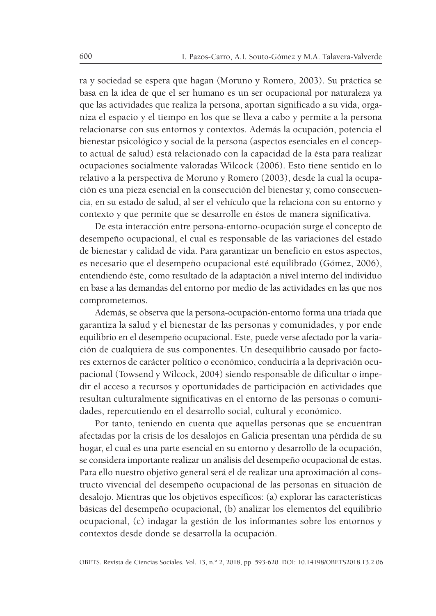ra y sociedad se espera que hagan (Moruno y Romero, 2003). Su práctica se basa en la idea de que el ser humano es un ser ocupacional por naturaleza ya que las actividades que realiza la persona, aportan significado a su vida, organiza el espacio y el tiempo en los que se lleva a cabo y permite a la persona relacionarse con sus entornos y contextos. Además la ocupación, potencia el bienestar psicológico y social de la persona (aspectos esenciales en el concepto actual de salud) está relacionado con la capacidad de la ésta para realizar ocupaciones socialmente valoradas Wilcock (2006). Esto tiene sentido en lo relativo a la perspectiva de Moruno y Romero (2003), desde la cual la ocupación es una pieza esencial en la consecución del bienestar y, como consecuencia, en su estado de salud, al ser el vehículo que la relaciona con su entorno y contexto y que permite que se desarrolle en éstos de manera significativa.

De esta interacción entre persona-entorno-ocupación surge el concepto de desempeño ocupacional, el cual es responsable de las variaciones del estado de bienestar y calidad de vida. Para garantizar un beneficio en estos aspectos, es necesario que el desempeño ocupacional esté equilibrado (Gómez, 2006), entendiendo éste, como resultado de la adaptación a nivel interno del individuo en base a las demandas del entorno por medio de las actividades en las que nos comprometemos.

Además, se observa que la persona-ocupación-entorno forma una tríada que garantiza la salud y el bienestar de las personas y comunidades, y por ende equilibrio en el desempeño ocupacional. Este, puede verse afectado por la variación de cualquiera de sus componentes. Un desequilibrio causado por factores externos de carácter político o económico, conduciría a la deprivación ocupacional (Towsend y Wilcock, 2004) siendo responsable de dificultar o impedir el acceso a recursos y oportunidades de participación en actividades que resultan culturalmente significativas en el entorno de las personas o comunidades, repercutiendo en el desarrollo social, cultural y económico.

Por tanto, teniendo en cuenta que aquellas personas que se encuentran afectadas por la crisis de los desalojos en Galicia presentan una pérdida de su hogar, el cual es una parte esencial en su entorno y desarrollo de la ocupación, se considera importante realizar un análisis del desempeño ocupacional de estas. Para ello nuestro objetivo general será el de realizar una aproximación al constructo vivencial del desempeño ocupacional de las personas en situación de desalojo. Mientras que los objetivos específicos: (a) explorar las características básicas del desempeño ocupacional, (b) analizar los elementos del equilibrio ocupacional, (c) indagar la gestión de los informantes sobre los entornos y contextos desde donde se desarrolla la ocupación.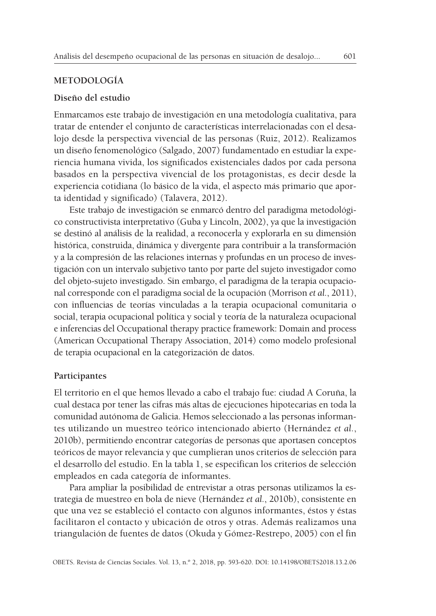#### **METODOLOGÍA**

#### **Diseño del estudio**

Enmarcamos este trabajo de investigación en una metodología cualitativa, para tratar de entender el conjunto de características interrelacionadas con el desalojo desde la perspectiva vivencial de las personas (Ruiz, 2012). Realizamos un diseño fenomenológico (Salgado, 2007) fundamentado en estudiar la experiencia humana vivida, los significados existenciales dados por cada persona basados en la perspectiva vivencial de los protagonistas, es decir desde la experiencia cotidiana (lo básico de la vida, el aspecto más primario que aporta identidad y significado) (Talavera, 2012).

Este trabajo de investigación se enmarcó dentro del paradigma metodológico constructivista interpretativo (Guba y Lincoln, 2002), ya que la investigación se destinó al análisis de la realidad, a reconocerla y explorarla en su dimensión histórica, construida, dinámica y divergente para contribuir a la transformación y a la compresión de las relaciones internas y profundas en un proceso de investigación con un intervalo subjetivo tanto por parte del sujeto investigador como del objeto-sujeto investigado. Sin embargo, el paradigma de la terapia ocupacional corresponde con el paradigma social de la ocupación (Morrison *et al.*, 2011), con influencias de teorías vinculadas a la terapia ocupacional comunitaria o social, terapia ocupacional política y social y teoría de la naturaleza ocupacional e inferencias del Occupational therapy practice framework: Domain and process (American Occupational Therapy Association, 2014) como modelo profesional de terapia ocupacional en la categorización de datos.

#### **Participantes**

El territorio en el que hemos llevado a cabo el trabajo fue: ciudad A Coruña, la cual destaca por tener las cifras más altas de ejecuciones hipotecarias en toda la comunidad autónoma de Galicia. Hemos seleccionado a las personas informantes utilizando un muestreo teórico intencionado abierto (Hernández *et al.*, 2010b), permitiendo encontrar categorías de personas que aportasen conceptos teóricos de mayor relevancia y que cumplieran unos criterios de selección para el desarrollo del estudio. En la tabla 1, se especifican los criterios de selección empleados en cada categoría de informantes.

Para ampliar la posibilidad de entrevistar a otras personas utilizamos la estrategia de muestreo en bola de nieve (Hernández *et al.*, 2010b), consistente en que una vez se estableció el contacto con algunos informantes, éstos y éstas facilitaron el contacto y ubicación de otros y otras. Además realizamos una triangulación de fuentes de datos (Okuda y Gómez-Restrepo, 2005) con el fin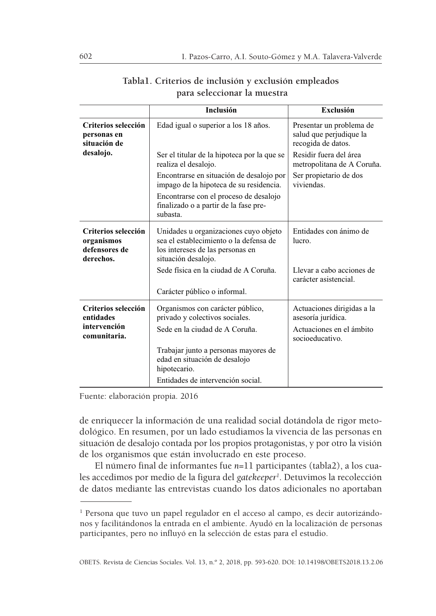|                                                                 | <b>Inclusión</b>                                                                                                                           | Exclusión                                                                 |  |
|-----------------------------------------------------------------|--------------------------------------------------------------------------------------------------------------------------------------------|---------------------------------------------------------------------------|--|
| Criterios selección<br>personas en<br>situación de              | Edad igual o superior a los 18 años.                                                                                                       | Presentar un problema de<br>salud que perjudique la<br>recogida de datos. |  |
| desalojo.                                                       | Ser el titular de la hipoteca por la que se<br>realiza el desalojo.                                                                        | Residir fuera del área<br>metropolitana de A Coruña.                      |  |
|                                                                 | Encontrarse en situación de desalojo por<br>impago de la hipoteca de su residencia.                                                        | Ser propietario de dos<br>viviendas.                                      |  |
|                                                                 | Encontrarse con el proceso de desalojo<br>finalizado o a partir de la fase pre-<br>subasta.                                                |                                                                           |  |
| Criterios selección<br>organismos<br>defensores de<br>derechos. | Unidades u organizaciones cuyo objeto<br>sea el establecimiento o la defensa de<br>los intereses de las personas en<br>situación desalojo. | Entidades con ánimo de<br>lucro.                                          |  |
|                                                                 | Sede física en la ciudad de A Coruña.                                                                                                      | Llevar a cabo acciones de<br>carácter asistencial.                        |  |
|                                                                 | Carácter público o informal.                                                                                                               |                                                                           |  |
| Criterios selección<br>entidades                                | Organismos con carácter público,<br>privado y colectivos sociales.                                                                         | Actuaciones dirigidas a la<br>asesoría jurídica.                          |  |
| intervención<br>comunitaria.                                    | Sede en la ciudad de A Coruña.                                                                                                             | Actuaciones en el ámbito<br>socioeducativo.                               |  |
|                                                                 | Trabajar junto a personas mayores de<br>edad en situación de desalojo<br>hipotecario.                                                      |                                                                           |  |
|                                                                 | Entidades de intervención social.                                                                                                          |                                                                           |  |

# **Tabla1. Criterios de inclusión y exclusión empleados para seleccionar la muestra**

Fuente: elaboración propia. 2016

de enriquecer la información de una realidad social dotándola de rigor metodológico. En resumen, por un lado estudiamos la vivencia de las personas en situación de desalojo contada por los propios protagonistas, y por otro la visión de los organismos que están involucrado en este proceso.

El número final de informantes fue *n=*11 participantes (tabla2), a los cuales accedimos por medio de la figura del g*atekeeper<sup>1</sup>.* Detuvimos la recolección de datos mediante las entrevistas cuando los datos adicionales no aportaban

<sup>&</sup>lt;sup>1</sup> Persona que tuvo un papel regulador en el acceso al campo, es decir autorizándonos y facilitándonos la entrada en el ambiente. Ayudó en la localización de personas participantes, pero no influyó en la selección de estas para el estudio.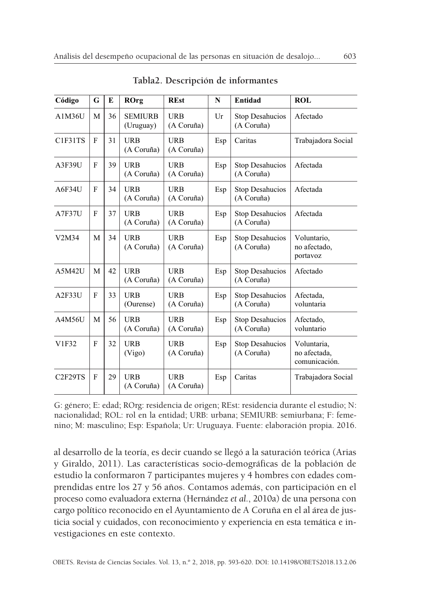| Código              | G | E  | ROrg                        | <b>REst</b>              | N   | Entidad                              | <b>ROL</b>                                   |
|---------------------|---|----|-----------------------------|--------------------------|-----|--------------------------------------|----------------------------------------------|
| A1M36U              | M | 36 | <b>SEMIURB</b><br>(Uruguay) | URB<br>(A Coruña)        | Ur  | Stop Desahucios<br>(A Coruña)        | Afectado                                     |
| C1F31TS             | F | 31 | <b>URB</b><br>(A Coruña)    | <b>URB</b><br>(A Coruña) | Esp | Caritas                              | Trabajadora Social                           |
| A3F39U              | F | 39 | <b>URB</b><br>(A Coruña)    | <b>URB</b><br>(A Coruña) | Esp | Stop Desahucios<br>(A Coruña)        | Afectada                                     |
| A6F34U              | F | 34 | <b>URB</b><br>(A Coruña)    | <b>URB</b><br>(A Coruña) | Esp | Stop Desahucios<br>(A Coruña)        | Afectada                                     |
| A7F37U              | F | 37 | <b>URB</b><br>(A Coruña)    | <b>URB</b><br>(A Coruña) | Esp | Stop Desahucios<br>(A Coruña)        | Afectada                                     |
| V2M34               | M | 34 | <b>URB</b><br>(A Coruña)    | <b>URB</b><br>(A Coruña) | Esp | Stop Desahucios<br>(A Coruña)        | Voluntario,<br>no afectado,<br>portavoz      |
| A5M42U              | M | 42 | URB<br>(A Coruña)           | URB<br>(A Coruña)        | Esp | Stop Desahucios<br>(A Coruña)        | Afectado                                     |
| A2F33U              | F | 33 | <b>URB</b><br>(Ourense)     | URB<br>(A Coruña)        | Esp | Stop Desahucios<br>(A Coruña)        | Afectada,<br>voluntaria                      |
| A4M56U              | М | 56 | URB<br>(A Coruña)           | URB<br>(A Coruña)        | Esp | <b>Stop Desahucios</b><br>(A Coruña) | Afectado,<br>voluntario                      |
| V1F32               | F | 32 | <b>URB</b><br>(Vigo)        | URB<br>(A Coruña)        | Esp | <b>Stop Desahucios</b><br>(A Coruña) | Voluntaria,<br>no afectada,<br>comunicación. |
| C <sub>2F29TS</sub> | F | 29 | URB<br>(A Coruña)           | URB<br>(A Coruña)        | Esp | Caritas                              | Trabajadora Social                           |

**Tabla2. Descripción de informantes**

G: género; E: edad; ROrg: residencia de origen; REst: residencia durante el estudio; N: nacionalidad; ROL: rol en la entidad; URB: urbana; SEMIURB: semiurbana; F: femenino; M: masculino; Esp: Española; Ur: Uruguaya. Fuente: elaboración propia. 2016.

al desarrollo de la teoría, es decir cuando se llegó a la saturación teórica (Arias y Giraldo, 2011). Las características socio-demográficas de la población de estudio la conformaron 7 participantes mujeres y 4 hombres con edades comprendidas entre los 27 y 56 años. Contamos además, con participación en el proceso como evaluadora externa (Hernández *et al.*, 2010a) de una persona con cargo político reconocido en el Ayuntamiento de A Coruña en el al área de justicia social y cuidados, con reconocimiento y experiencia en esta temática e investigaciones en este contexto.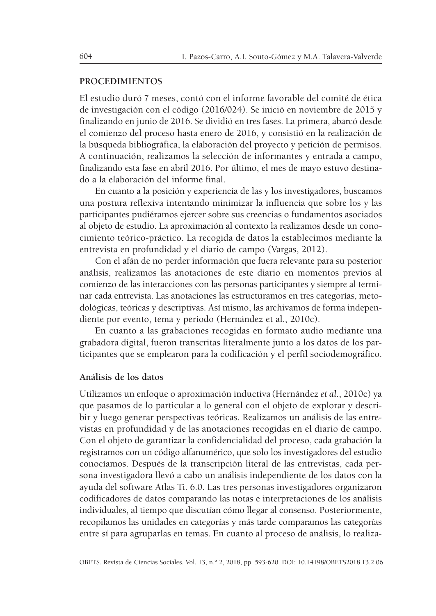#### **PROCEDIMIENTOS**

El estudio duró 7 meses, contó con el informe favorable del comité de ética de investigación con el código (2016/024). Se inició en noviembre de 2015 y finalizando en junio de 2016. Se dividió en tres fases. La primera, abarcó desde el comienzo del proceso hasta enero de 2016, y consistió en la realización de la búsqueda bibliográfica, la elaboración del proyecto y petición de permisos. A continuación, realizamos la selección de informantes y entrada a campo, finalizando esta fase en abril 2016. Por último, el mes de mayo estuvo destinado a la elaboración del informe final.

En cuanto a la posición y experiencia de las y los investigadores, buscamos una postura reflexiva intentando minimizar la influencia que sobre los y las participantes pudiéramos ejercer sobre sus creencias o fundamentos asociados al objeto de estudio. La aproximación al contexto la realizamos desde un conocimiento teórico-práctico. La recogida de datos la establecimos mediante la entrevista en profundidad y el diario de campo (Vargas, 2012).

Con el afán de no perder información que fuera relevante para su posterior análisis, realizamos las anotaciones de este diario en momentos previos al comienzo de las interacciones con las personas participantes y siempre al terminar cada entrevista. Las anotaciones las estructuramos en tres categorías, metodológicas, teóricas y descriptivas. Así mismo, las archivamos de forma independiente por evento, tema y periodo (Hernández et al., 2010c).

En cuanto a las grabaciones recogidas en formato audio mediante una grabadora digital, fueron transcritas literalmente junto a los datos de los participantes que se emplearon para la codificación y el perfil sociodemográfico.

#### **Análisis de los datos**

Utilizamos un enfoque o aproximación inductiva (Hernández *et al.*, 2010c) ya que pasamos de lo particular a lo general con el objeto de explorar y describir y luego generar perspectivas teóricas. Realizamos un análisis de las entrevistas en profundidad y de las anotaciones recogidas en el diario de campo. Con el objeto de garantizar la confidencialidad del proceso, cada grabación la registramos con un código alfanumérico, que solo los investigadores del estudio conocíamos. Después de la transcripción literal de las entrevistas, cada persona investigadora llevó a cabo un análisis independiente de los datos con la ayuda del software Atlas Ti. 6.0. Las tres personas investigadores organizaron codificadores de datos comparando las notas e interpretaciones de los análisis individuales, al tiempo que discutían cómo llegar al consenso. Posteriormente, recopilamos las unidades en categorías y más tarde comparamos las categorías entre sí para agruparlas en temas. En cuanto al proceso de análisis, lo realiza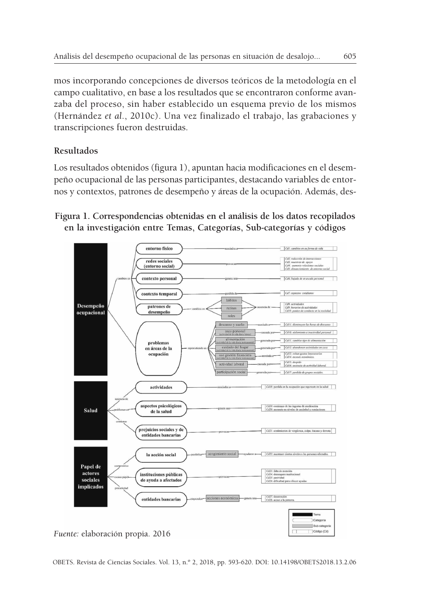mos incorporando concepciones de diversos teóricos de la metodología en el campo cualitativo, en base a los resultados que se encontraron conforme avanzaba del proceso, sin haber establecido un esquema previo de los mismos (Hernández *et al.*, 2010c). Una vez finalizado el trabajo, las grabaciones y transcripciones fueron destruidas.

# **Resultados**

Los resultados obtenidos (figura 1), apuntan hacia modificaciones en el desempeño ocupacional de las personas participantes, destacando variables de entornos y contextos, patrones de desempeño y áreas de la ocupación. Además, des-

# **Figura 1. Correspondencias obtenidas en el análisis de los datos recopilados en la investigación entre Temas, Categorías, Sub-categorías y códigos**



OBETS. Revista de Ciencias Sociales. Vol. 13, n.º 2, 2018, pp. 593-620. DOI: 10.14198/OBETS2018.13.2.06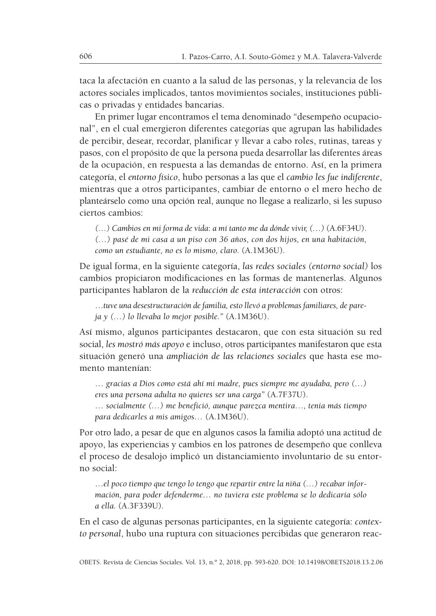taca la afectación en cuanto a la salud de las personas, y la relevancia de los actores sociales implicados, tantos movimientos sociales, instituciones públicas o privadas y entidades bancarias.

En primer lugar encontramos el tema denominado "desempeño ocupacional", en el cual emergieron diferentes categorías que agrupan las habilidades de percibir, desear, recordar, planificar y llevar a cabo roles, rutinas, tareas y pasos, con el propósito de que la persona pueda desarrollar las diferentes áreas de la ocupación, en respuesta a las demandas de entorno. Así, en la primera categoría, el *entorno físico*, hubo personas a las que el *cambio les fue indiferente*, mientras que a otros participantes, cambiar de entorno o el mero hecho de planteárselo como una opción real, aunque no llegase a realizarlo, si les supuso ciertos cambios:

*(…) Cambios en mi forma de vida*: *a mí tanto me da dónde vivir, (…)* (A.6F34U).

*(…) pasé de mi casa a un piso con 36 años, con dos hijos, en una habitación, como un estudiante, no es lo mismo, claro.* (A.1M36U).

De igual forma, en la siguiente categoría, *las redes sociales (entorno social)* los cambios propiciaron modificaciones en las formas de mantenerlas. Algunos participantes hablaron de la *reducción de esta interacción* con otros:

…*tuve una desestructuración de familia, esto llevó a problemas familiares, de pareja y (…) lo llevaba lo mejor posible."* (A.1M36U).

Así mismo, algunos participantes destacaron, que con esta situación su red social, *les mostró más apoyo* e incluso, otros participantes manifestaron que esta situación generó una *ampliación de las relaciones sociales* que hasta ese momento mantenían:

… *gracias a Dios como está ahí mi madre, pues siempre me ayudaba, pero (…) eres una persona adulta no quieres ser una carga"* (A.7F37U).

… *socialmente (…) me benefició, aunque parezca mentira…, tenía más tiempo para dedicarles a mis amigos…* (A.1M36U).

Por otro lado, a pesar de que en algunos casos la familia adoptó una actitud de apoyo, las experiencias y cambios en los patrones de desempeño que conlleva el proceso de desalojo implicó un distanciamiento involuntario de su entorno social:

…*el poco tiempo que tengo lo tengo que repartir entre la niña (…) recabar información, para poder defenderme… no tuviera este problema se lo dedicaría sólo a ella.* (A.3F339U).

En el caso de algunas personas participantes, en la siguiente categoría: *contexto personal*, hubo una ruptura con situaciones percibidas que generaron reac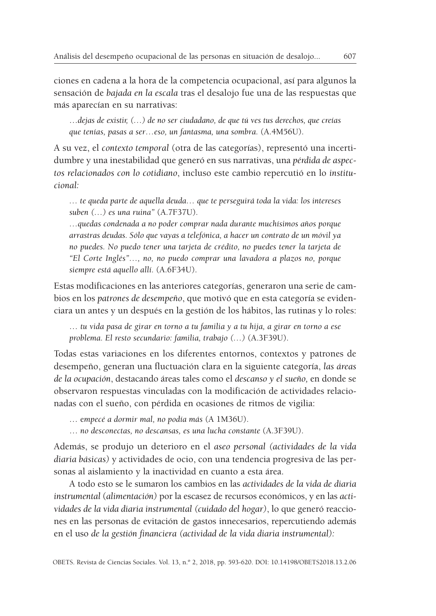ciones en cadena a la hora de la competencia ocupacional, así para algunos la sensación de *bajada en la escala* tras el desalojo fue una de las respuestas que más aparecían en su narrativas:

…*dejas de existir, (…) de no ser ciudadano, de que tú ves tus derechos, que creías que tenías, pasas a ser…eso, un fantasma, una sombra.* (A.4M56U).

A su vez, el *contexto temporal* (otra de las categorías), representó una incertidumbre y una inestabilidad que generó en sus narrativas, una *pérdida de aspectos relacionados con lo cotidiano*, incluso este cambio repercutió en lo *institucional:*

*… te queda parte de aquella deuda… que te perseguirá toda la vida: los intereses suben (…) es una ruina"* (A.7F37U)*.*

*…quedas condenada a no poder comprar nada durante muchísimos años porque arrastras deudas. Sólo que vayas a telefónica, a hacer un contrato de un móvil ya no puedes. No puedo tener una tarjeta de crédito, no puedes tener la tarjeta de "El Corte Inglés"…, no, no puedo comprar una lavadora a plazos no, porque siempre está aquello allí.* (A.6F34U).

Estas modificaciones en las anteriores categorías, generaron una serie de cambios en los *patrones de desempeño*, que motivó que en esta categoría se evidenciara un antes y un después en la gestión de los hábitos, las rutinas y lo roles:

… *tu vida pasa de girar en torno a tu familia y a tu hija, a girar en torno a ese problema. El resto secundario: familia, trabajo (…)* (A.3F39U).

Todas estas variaciones en los diferentes entornos, contextos y patrones de desempeño, generan una fluctuación clara en la siguiente categoría, *las áreas de la ocupación*, destacando áreas tales como el *descanso y el sueño,* en donde se observaron respuestas vinculadas con la modificación de actividades relacionadas con el sueño, con pérdida en ocasiones de ritmos de vigilia:

… e*mpecé a dormir mal, no podía más* (A 1M36U).

… *no desconectas, no descansas, es una lucha constante* (A.3F39U).

Además, se produjo un deterioro en el *aseo personal (actividades de la vida diaria básicas)* y actividades de ocio, con una tendencia progresiva de las personas al aislamiento y la inactividad en cuanto a esta área.

A todo esto se le sumaron los cambios en las *actividades de la vida de diaria instrumental* (*alimentación)* por la escasez de recursos económicos, y en las *actividades de la vida diaria instrumental (cuidado del hogar)*, lo que generó reacciones en las personas de evitación de gastos innecesarios, repercutiendo además en el uso *de la gestión financiera (actividad de la vida diaria instrumental):*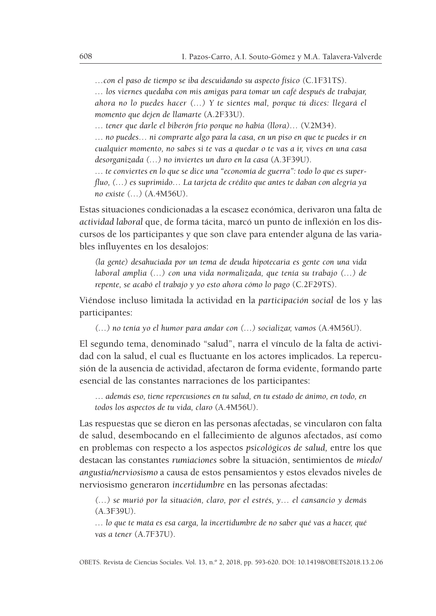*…con el paso de tiempo se iba descuidando su aspecto físico (*C.1F31TS).

*… los viernes quedaba con mis amigas para tomar un café después de trabajar, ahora no lo puedes hacer (…) Y te sientes mal, porque tú dices: llegará el momento que dejen de llamarte* (A.2F33U).

*… tener que darle el biberón frío porque no había (llora)…* (V.2M34).

*… no puedes… ni comprarte algo para la casa, en un piso en que te puedes ir en cualquier momento, no sabes si te vas a quedar o te vas a ir, vives en una casa desorganizada (…) no inviertes un duro en la casa* (A.3F39U).

*… te conviertes en lo que se dice una "economía de guerra": todo lo que es superfluo, (…) es suprimido… La tarjeta de crédito que antes te daban con alegría ya no existe (…)* (A.4M56U).

Estas situaciones condicionadas a la escasez económica, derivaron una falta de *actividad laboral* que, de forma tácita, marcó un punto de inflexión en los discursos de los participantes y que son clave para entender alguna de las variables influyentes en los desalojos:

*(la gente) desahuciada por un tema de deuda hipotecaria es gente con una vida laboral amplia (…) con una vida normalizada, que tenía su trabajo (…) de repente, se acabó el trabajo y yo esto ahora cómo lo pago* (C.2F29TS).

Viéndose incluso limitada la actividad en la *participación social* de los y las participantes:

*(…) no tenía yo el humor para andar con (…) socializar, vamos* (A.4M56U).

El segundo tema, denominado "salud", narra el vínculo de la falta de actividad con la salud, el cual es fluctuante en los actores implicados. La repercusión de la ausencia de actividad, afectaron de forma evidente, formando parte esencial de las constantes narraciones de los participantes:

… *además eso, tiene repercusiones en tu salud, en tu estado de ánimo, en todo, en todos los aspectos de tu vida, claro* (A.4M56U).

Las respuestas que se dieron en las personas afectadas, se vincularon con falta de salud, desembocando en el fallecimiento de algunos afectados, así como en problemas con respecto a los aspectos *psicológicos de salud,* entre los que destacan las constantes *rumiaciones* sobre la situación, sentimientos de *miedo/ angustia/nerviosismo* a causa de estos pensamientos y estos elevados niveles de nerviosismo generaron *incertidumbre* en las personas afectadas:

*(…) se murió por la situación, claro, por el estrés, y… el cansancio y demás* (A.3F39U).

*… lo que te mata es esa carga, la incertidumbre de no saber qué vas a hacer, qué vas a tener* (A.7F37U).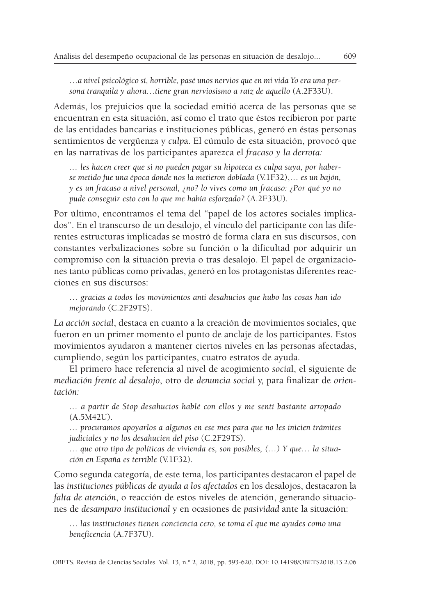…*a nivel psicológico sí, horrible, pasé unos nervios que en mi vida Yo era una persona tranquila y ahora…tiene gran nerviosismo a raíz de aquello* (A.2F33U).

Además, los prejuicios que la sociedad emitió acerca de las personas que se encuentran en esta situación, así como el trato que éstos recibieron por parte de las entidades bancarias e instituciones públicas, generó en éstas personas sentimientos de vergüenza y *culp*a. El cúmulo de esta situación, provocó que en las narrativas de los participantes aparezca el *fracaso y la derrota:*

*… les hacen creer que si no pueden pagar su hipoteca es culpa suya, por haberse metido fue una época donde nos la metieron doblada* (V.1F32),… *es un bajón, y es un fracaso a nivel personal, ¿no? lo vives como un fracaso: ¿Por qué yo no pude conseguir esto con lo que me había esforzado?* (A.2F33U).

Por último, encontramos el tema del "papel de los actores sociales implicados". En el transcurso de un desalojo, el vínculo del participante con las diferentes estructuras implicadas se mostró de forma clara en sus discursos, con constantes verbalizaciones sobre su función o la dificultad por adquirir un compromiso con la situación previa o tras desalojo. El papel de organizaciones tanto públicas como privadas, generó en los protagonistas diferentes reacciones en sus discursos:

… *gracias a todos los movimientos anti desahucios que hubo las cosas han ido mejorando* (C.2F29TS).

*La acción social*, destaca en cuanto a la creación de movimientos sociales, que fueron en un primer momento el punto de anclaje de los participantes. Estos movimientos ayudaron a mantener ciertos niveles en las personas afectadas, cumpliendo, según los participantes, cuatro estratos de ayuda.

El primero hace referencia al nivel de acogimiento *socia*l, el siguiente de *mediación frente al desalojo*, otro de *denuncia social* y, para finalizar de *orientación:*

*… a partir de Stop desahucios hablé con ellos y me sentí bastante arropado* (A.5M42U).

*… procuramos apoyarlos a algunos en ese mes para que no les inicien trámites judiciales y no los desahucien del piso* (C.2F29TS)*.*

*… que otro tipo de políticas de vivienda es, son posibles, (…) Y que… la situación en España es terrible* (V.1F32).

Como segunda categoría, de este tema, los participantes destacaron el papel de las *instituciones públicas de ayuda a los afectados* en los desalojos, destacaron la *falta de atención*, o reacción de estos niveles de atención, generando situaciones de *desamparo institucional* y en ocasiones de *pasividad* ante la situación:

… *las instituciones tienen conciencia cero, se toma el que me ayudes como una beneficencia* (A.7F37U).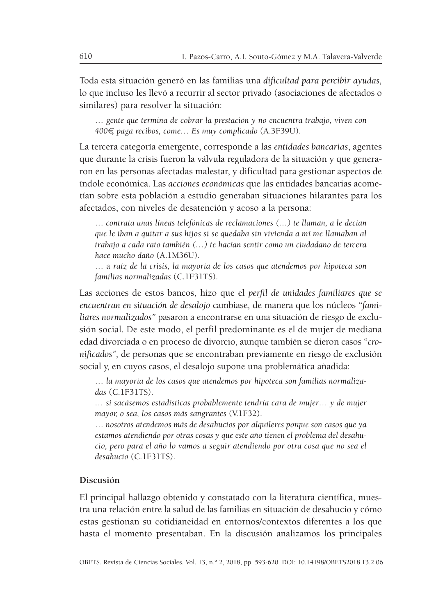Toda esta situación generó en las familias una *dificultad para percibir ayudas,* lo que incluso les llevó a recurrir al sector privado (asociaciones de afectados o similares) para resolver la situación:

… *gente que termina de cobrar la prestación y no encuentra trabajo, viven con 400*€*, paga recibos, come… Es muy complicado* (A.3F39U).

La tercera categoría emergente, corresponde a las *entidades bancarias*, agentes que durante la crisis fueron la válvula reguladora de la situación y que generaron en las personas afectadas malestar, y dificultad para gestionar aspectos de índole económica. Las *acciones económicas* que las entidades bancarias acometían sobre esta población a estudio generaban situaciones hilarantes para los afectados, con niveles de desatención y acoso a la persona:

… *contrata unas líneas telefónicas de reclamaciones (…) te llaman, a le decían que le iban a quitar a sus hijos si se quedaba sin vivienda a mí me llamaban al trabajo a cada rato también (…) te hacían sentir como un ciudadano de tercera hace mucho daño* (A.1M36U).

… a *raíz de la crisis, la mayoría de los casos que atendemos por hipoteca son familias normalizadas* (C.1F31TS).

Las acciones de estos bancos, hizo que el *perfil de unidades familiares que se encuentran en situación de desalojo* cambiase*,* de manera que los núcleos *"familiares normalizados"* pasaron a encontrarse en una situación de riesgo de exclusión social*.* De este modo, el perfil predominante es el de mujer de mediana edad divorciada o en proceso de divorcio, aunque también se dieron casos "*cronificados",* de personas que se encontraban previamente en riesgo de exclusión social y, en cuyos casos, el desalojo supone una problemática añadida:

… *la mayoría de los casos que atendemos por hipoteca son familias normalizadas* (C.1F31TS).

*… si sacásemos estadísticas probablemente tendría cara de mujer… y de mujer mayor, o sea, los casos más sangrantes* (V.1F32).

… *nosotros atendemos más de desahucios por alquileres porque son casos que ya estamos atendiendo por otras cosas y que este año tienen el problema del desahucio, pero para el año lo vamos a seguir atendiendo por otra cosa que no sea el desahucio* (C.1F31TS).

#### **Discusión**

El principal hallazgo obtenido y constatado con la literatura científica, muestra una relación entre la salud de las familias en situación de desahucio y cómo estas gestionan su cotidianeidad en entornos/contextos diferentes a los que hasta el momento presentaban. En la discusión analizamos los principales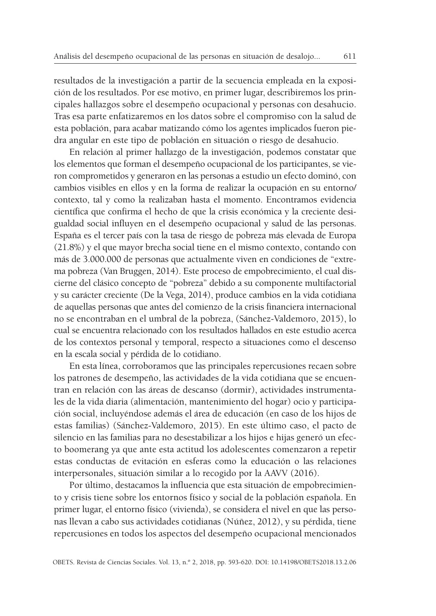resultados de la investigación a partir de la secuencia empleada en la exposición de los resultados. Por ese motivo, en primer lugar, describiremos los principales hallazgos sobre el desempeño ocupacional y personas con desahucio. Tras esa parte enfatizaremos en los datos sobre el compromiso con la salud de esta población, para acabar matizando cómo los agentes implicados fueron piedra angular en este tipo de población en situación o riesgo de desahucio.

En relación al primer hallazgo de la investigación, podemos constatar que los elementos que forman el desempeño ocupacional de los participantes, se vieron comprometidos y generaron en las personas a estudio un efecto dominó, con cambios visibles en ellos y en la forma de realizar la ocupación en su entorno/ contexto, tal y como la realizaban hasta el momento. Encontramos evidencia científica que confirma el hecho de que la crisis económica y la creciente desigualdad social influyen en el desempeño ocupacional y salud de las personas. España es el tercer país con la tasa de riesgo de pobreza más elevada de Europa (21.8%) y el que mayor brecha social tiene en el mismo contexto, contando con más de 3.000.000 de personas que actualmente viven en condiciones de "extrema pobreza (Van Bruggen, 2014). Este proceso de empobrecimiento, el cual discierne del clásico concepto de "pobreza" debido a su componente multifactorial y su carácter creciente (De la Vega, 2014), produce cambios en la vida cotidiana de aquellas personas que antes del comienzo de la crisis financiera internacional no se encontraban en el umbral de la pobreza, (Sánchez-Valdemoro, 2015), lo cual se encuentra relacionado con los resultados hallados en este estudio acerca de los contextos personal y temporal, respecto a situaciones como el descenso en la escala social y pérdida de lo cotidiano.

En esta línea, corroboramos que las principales repercusiones recaen sobre los patrones de desempeño, las actividades de la vida cotidiana que se encuentran en relación con las áreas de descanso (dormir), actividades instrumentales de la vida diaria (alimentación, mantenimiento del hogar) ocio y participación social, incluyéndose además el área de educación (en caso de los hijos de estas familias) (Sánchez-Valdemoro, 2015). En este último caso, el pacto de silencio en las familias para no desestabilizar a los hijos e hijas generó un efecto boomerang ya que ante esta actitud los adolescentes comenzaron a repetir estas conductas de evitación en esferas como la educación o las relaciones interpersonales, situación similar a lo recogido por la AAVV (2016).

Por último, destacamos la influencia que esta situación de empobrecimiento y crisis tiene sobre los entornos físico y social de la población española. En primer lugar, el entorno físico (vivienda), se considera el nivel en que las personas llevan a cabo sus actividades cotidianas (Núñez, 2012), y su pérdida, tiene repercusiones en todos los aspectos del desempeño ocupacional mencionados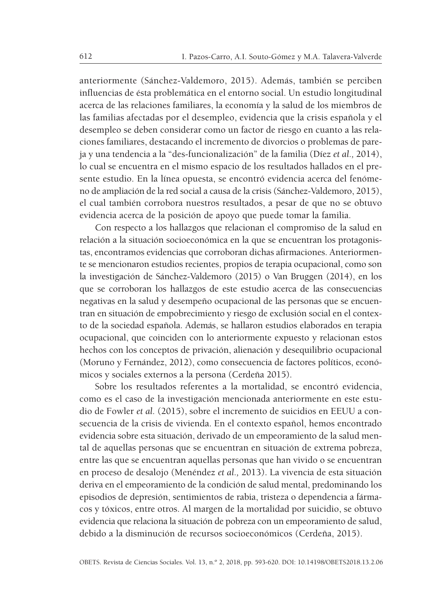anteriormente (Sánchez-Valdemoro, 2015). Además, también se perciben influencias de ésta problemática en el entorno social. Un estudio longitudinal acerca de las relaciones familiares, la economía y la salud de los miembros de las familias afectadas por el desempleo, evidencia que la crisis española y el desempleo se deben considerar como un factor de riesgo en cuanto a las relaciones familiares, destacando el incremento de divorcios o problemas de pareja y una tendencia a la "des-funcionalización" de la familia (Díez *et al.,* 2014), lo cual se encuentra en el mismo espacio de los resultados hallados en el presente estudio. En la línea opuesta, se encontró evidencia acerca del fenómeno de ampliación de la red social a causa de la crisis(Sánchez-Valdemoro, 2015), el cual también corrobora nuestros resultados, a pesar de que no se obtuvo evidencia acerca de la posición de apoyo que puede tomar la familia.

Con respecto a los hallazgos que relacionan el compromiso de la salud en relación a la situación socioeconómica en la que se encuentran los protagonistas, encontramos evidencias que corroboran dichas afirmaciones. Anteriormente se mencionaron estudios recientes, propios de terapia ocupacional, como son la investigación de Sánchez-Valdemoro (2015) o Van Bruggen (2014), en los que se corroboran los hallazgos de este estudio acerca de las consecuencias negativas en la salud y desempeño ocupacional de las personas que se encuentran en situación de empobrecimiento y riesgo de exclusión social en el contexto de la sociedad española. Además, se hallaron estudios elaborados en terapia ocupacional, que coinciden con lo anteriormente expuesto y relacionan estos hechos con los conceptos de privación, alienación y desequilibrio ocupacional (Moruno y Fernández, 2012), como consecuencia de factores políticos, económicos y sociales externos a la persona (Cerdeña 2015).

Sobre los resultados referentes a la mortalidad, se encontró evidencia, como es el caso de la investigación mencionada anteriormente en este estudio de Fowler *et al.* (2015), sobre el incremento de suicidios en EEUU a consecuencia de la crisis de vivienda. En el contexto español, hemos encontrado evidencia sobre esta situación, derivado de un empeoramiento de la salud mental de aquellas personas que se encuentran en situación de extrema pobreza, entre las que se encuentran aquellas personas que han vivido o se encuentran en proceso de desalojo (Menéndez *et al.,* 2013). La vivencia de esta situación deriva en el empeoramiento de la condición de salud mental, predominando los episodios de depresión, sentimientos de rabia, tristeza o dependencia a fármacos y tóxicos, entre otros. Al margen de la mortalidad por suicidio, se obtuvo evidencia que relaciona la situación de pobreza con un empeoramiento de salud, debido a la disminución de recursos socioeconómicos (Cerdeña, 2015).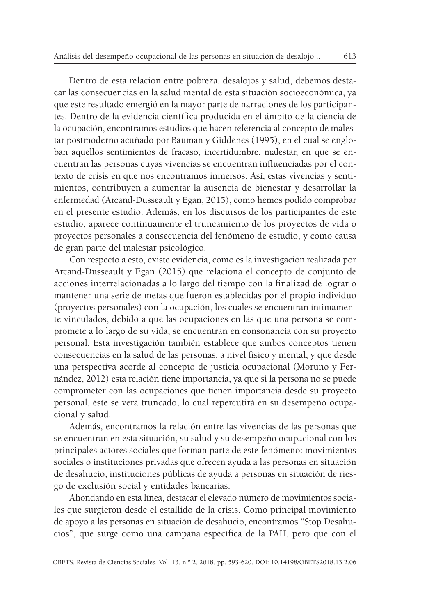Dentro de esta relación entre pobreza, desalojos y salud, debemos destacar las consecuencias en la salud mental de esta situación socioeconómica, ya que este resultado emergió en la mayor parte de narraciones de los participantes. Dentro de la evidencia científica producida en el ámbito de la ciencia de la ocupación, encontramos estudios que hacen referencia al concepto de malestar postmoderno acuñado por Bauman y Giddenes (1995), en el cual se engloban aquellos sentimientos de fracaso, incertidumbre, malestar, en que se encuentran las personas cuyas vivencias se encuentran influenciadas por el contexto de crisis en que nos encontramos inmersos. Así, estas vivencias y sentimientos, contribuyen a aumentar la ausencia de bienestar y desarrollar la enfermedad (Arcand-Dusseault y Egan, 2015), como hemos podido comprobar en el presente estudio. Además, en los discursos de los participantes de este estudio, aparece continuamente el truncamiento de los proyectos de vida o proyectos personales a consecuencia del fenómeno de estudio, y como causa de gran parte del malestar psicológico.

Con respecto a esto, existe evidencia, como es la investigación realizada por Arcand-Dusseault y Egan (2015) que relaciona el concepto de conjunto de acciones interrelacionadas a lo largo del tiempo con la finalizad de lograr o mantener una serie de metas que fueron establecidas por el propio individuo (proyectos personales) con la ocupación, los cuales se encuentran íntimamente vinculados, debido a que las ocupaciones en las que una persona se compromete a lo largo de su vida, se encuentran en consonancia con su proyecto personal. Esta investigación también establece que ambos conceptos tienen consecuencias en la salud de las personas, a nivel físico y mental, y que desde una perspectiva acorde al concepto de justicia ocupacional (Moruno y Fernández, 2012) esta relación tiene importancia, ya que si la persona no se puede comprometer con las ocupaciones que tienen importancia desde su proyecto personal, éste se verá truncado, lo cual repercutirá en su desempeño ocupacional y salud.

Además, encontramos la relación entre las vivencias de las personas que se encuentran en esta situación, su salud y su desempeño ocupacional con los principales actores sociales que forman parte de este fenómeno: movimientos sociales o instituciones privadas que ofrecen ayuda a las personas en situación de desahucio, instituciones públicas de ayuda a personas en situación de riesgo de exclusión social y entidades bancarias.

Ahondando en esta línea, destacar el elevado número de movimientos sociales que surgieron desde el estallido de la crisis. Como principal movimiento de apoyo a las personas en situación de desahucio, encontramos "Stop Desahucios", que surge como una campaña específica de la PAH, pero que con el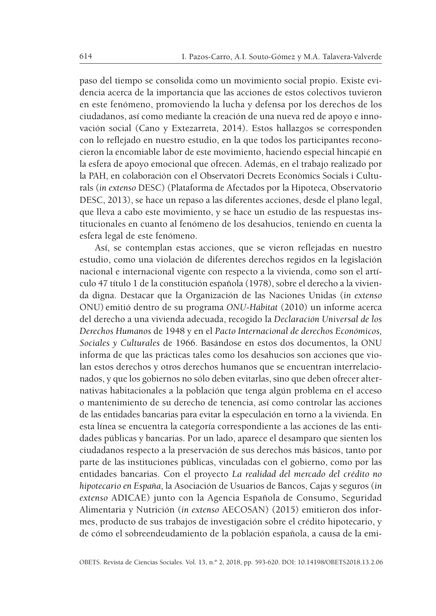paso del tiempo se consolida como un movimiento social propio. Existe evidencia acerca de la importancia que las acciones de estos colectivos tuvieron en este fenómeno, promoviendo la lucha y defensa por los derechos de los ciudadanos, así como mediante la creación de una nueva red de apoyo e innovación social (Cano y Extezarreta, 2014). Estos hallazgos se corresponden con lo reflejado en nuestro estudio, en la que todos los participantes reconocieron la encomiable labor de este movimiento, haciendo especial hincapié en la esfera de apoyo emocional que ofrecen. Además, en el trabajo realizado por la PAH, en colaboración con el Observatori Decrets Econòmics Socials i Culturals (*in extenso* DESC) (Plataforma de Afectados por la Hipoteca, Observatorio DESC, 2013), se hace un repaso a las diferentes acciones, desde el plano legal, que lleva a cabo este movimiento, y se hace un estudio de las respuestas institucionales en cuanto al fenómeno de los desahucios, teniendo en cuenta la esfera legal de este fenómeno.

Así, se contemplan estas acciones, que se vieron reflejadas en nuestro estudio, como una violación de diferentes derechos regidos en la legislación nacional e internacional vigente con respecto a la vivienda, como son el artículo 47 título 1 de la constitución española (1978), sobre el derecho a la vivienda digna. Destacar que la Organización de las Naciones Unidas (*in extenso* ONU) emitió dentro de su programa *ONU-Hábitat* (2010) un informe acerca del derecho a una vivienda adecuada, recogido la *Declaración Universal de los Derechos Humanos* de 1948 y en el *Pacto Internacional de derechos Económicos, Sociales y Culturales* de 1966. Basándose en estos dos documentos, la ONU informa de que las prácticas tales como los desahucios son acciones que violan estos derechos y otros derechos humanos que se encuentran interrelacionados, y que los gobiernos no sólo deben evitarlas, sino que deben ofrecer alternativas habitacionales a la población que tenga algún problema en el acceso o mantenimiento de su derecho de tenencia, así como controlar las acciones de las entidades bancarias para evitar la especulación en torno a la vivienda. En esta línea se encuentra la categoría correspondiente a las acciones de las entidades públicas y bancarias. Por un lado, aparece el desamparo que sienten los ciudadanos respecto a la preservación de sus derechos más básicos, tanto por parte de las instituciones públicas, vinculadas con el gobierno, como por las entidades bancarias. Con el proyecto *La realidad del mercado del crédito no hipotecario en España*, la Asociación de Usuarios de Bancos, Cajas y seguros (*in extenso* ADICAE) junto con la Agencia Española de Consumo, Seguridad Alimentaria y Nutrición (*in extenso* AECOSAN) (2015) emitieron dos informes, producto de sus trabajos de investigación sobre el crédito hipotecario, y de cómo el sobreendeudamiento de la población española, a causa de la emi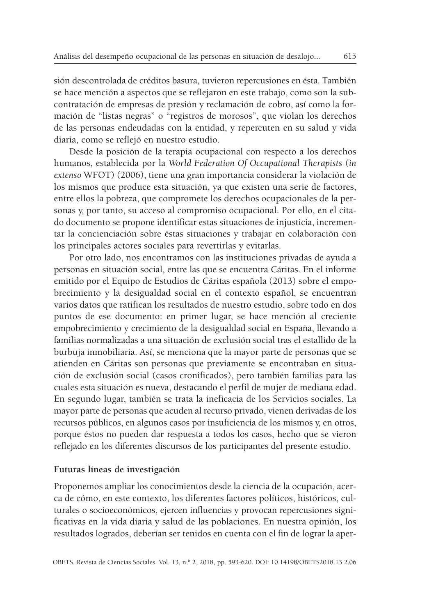sión descontrolada de créditos basura, tuvieron repercusiones en ésta. También se hace mención a aspectos que se reflejaron en este trabajo, como son la subcontratación de empresas de presión y reclamación de cobro, así como la formación de "listas negras" o "registros de morosos", que violan los derechos de las personas endeudadas con la entidad, y repercuten en su salud y vida diaria, como se reflejó en nuestro estudio.

Desde la posición de la terapia ocupacional con respecto a los derechos humanos, establecida por la *World Federation Of Occupational Therapists* (*in extenso* WFOT) (2006), tiene una gran importancia considerar la violación de los mismos que produce esta situación, ya que existen una serie de factores, entre ellos la pobreza, que compromete los derechos ocupacionales de la personas y, por tanto, su acceso al compromiso ocupacional. Por ello, en el citado documento se propone identificar estas situaciones de injusticia, incrementar la concienciación sobre éstas situaciones y trabajar en colaboración con los principales actores sociales para revertirlas y evitarlas.

Por otro lado, nos encontramos con las instituciones privadas de ayuda a personas en situación social, entre las que se encuentra Cáritas. En el informe emitido por el Equipo de Estudios de Cáritas española (2013) sobre el empobrecimiento y la desigualdad social en el contexto español, se encuentran varios datos que ratifican los resultados de nuestro estudio, sobre todo en dos puntos de ese documento: en primer lugar, se hace mención al creciente empobrecimiento y crecimiento de la desigualdad social en España, llevando a familias normalizadas a una situación de exclusión social tras el estallido de la burbuja inmobiliaria. Así, se menciona que la mayor parte de personas que se atienden en Cáritas son personas que previamente se encontraban en situación de exclusión social (casos cronificados), pero también familias para las cuales esta situación es nueva, destacando el perfil de mujer de mediana edad. En segundo lugar, también se trata la ineficacia de los Servicios sociales. La mayor parte de personas que acuden al recurso privado, vienen derivadas de los recursos públicos, en algunos casos por insuficiencia de los mismos y, en otros, porque éstos no pueden dar respuesta a todos los casos, hecho que se vieron reflejado en los diferentes discursos de los participantes del presente estudio.

#### **Futuras líneas de investigación**

Proponemos ampliar los conocimientos desde la ciencia de la ocupación, acerca de cómo, en este contexto, los diferentes factores políticos, históricos, culturales o socioeconómicos, ejercen influencias y provocan repercusiones significativas en la vida diaria y salud de las poblaciones. En nuestra opinión, los resultados logrados, deberían ser tenidos en cuenta con el fin de lograr la aper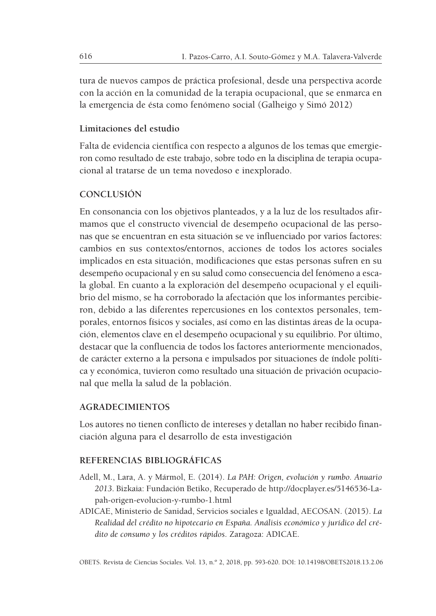tura de nuevos campos de práctica profesional, desde una perspectiva acorde con la acción en la comunidad de la terapia ocupacional, que se enmarca en la emergencia de ésta como fenómeno social (Galheigo y Simó 2012)

### **Limitaciones del estudio**

Falta de evidencia científica con respecto a algunos de los temas que emergieron como resultado de este trabajo, sobre todo en la disciplina de terapia ocupacional al tratarse de un tema novedoso e inexplorado.

## **CONCLUSIÓN**

En consonancia con los objetivos planteados, y a la luz de los resultados afirmamos que el constructo vivencial de desempeño ocupacional de las personas que se encuentran en esta situación se ve influenciado por varios factores: cambios en sus contextos/entornos, acciones de todos los actores sociales implicados en esta situación, modificaciones que estas personas sufren en su desempeño ocupacional y en su salud como consecuencia del fenómeno a escala global. En cuanto a la exploración del desempeño ocupacional y el equilibrio del mismo, se ha corroborado la afectación que los informantes percibieron, debido a las diferentes repercusiones en los contextos personales, temporales, entornos físicos y sociales, así como en las distintas áreas de la ocupación, elementos clave en el desempeño ocupacional y su equilibrio. Por último, destacar que la confluencia de todos los factores anteriormente mencionados, de carácter externo a la persona e impulsados por situaciones de índole política y económica, tuvieron como resultado una situación de privación ocupacional que mella la salud de la población.

#### **AGRADECIMIENTOS**

Los autores no tienen conflicto de intereses y detallan no haber recibido financiación alguna para el desarrollo de esta investigación

#### **REFERENCIAS BIBLIOGRÁFICAS**

- Adell, M., Lara, A. y Mármol, E. (2014). *La PAH: Origen, evolución y rumbo. Anuario 2013*. Bizkaia: Fundación Betiko, Recuperado de http://docplayer.es/5146536-Lapah-origen-evolucion-y-rumbo-1.html
- ADICAE, Ministerio de Sanidad, Servicios sociales e Igualdad, AECOSAN. (2015). *La Realidad del crédito no hipotecario en España. Análisis económico y jurídico del crédito de consumo y los créditos rápidos*. Zaragoza: ADICAE.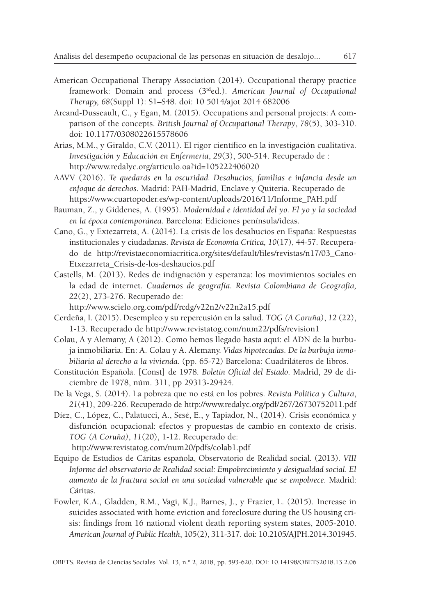- American Occupational Therapy Association (2014). Occupational therapy practice framework: Domain and process (3rd ed.). *American Journal of Occupational Therapy, 68*(Suppl 1): S1–S48. doi: 10 5014/ajot 2014 682006
- Arcand-Dusseault, C., y Egan, M. (2015). Occupations and personal projects: A comparison of the concepts. *British Journal of Occupational Therapy*, *78*(5), 303-310. doi: 10.1177/0308022615578606
- Arias, M.M., y Giraldo, C.V. (2011). El rigor científico en la investigación cualitativa. *Investigación y Educación en Enfermería*, *29*(3), 500-514. Recuperado de : http://www.redalyc.org/articulo.oa?id=105222406020
- AAVV (2016). *Te quedarás en la oscuridad. Desahucios, familias e infancia desde un enfoque de derechos*. Madrid: PAH-Madrid, Enclave y Quiteria. Recuperado de https://www.cuartopoder.es/wp-content/uploads/2016/11/Informe\_PAH.pdf
- Bauman, Z., y Giddenes, A. (1995). *Modernidad e identidad del yo. El yo y la sociedad en la época contemporánea.* Barcelona: Ediciones península/ideas.
- Cano, G., y Extezarreta, A. (2014). La crisis de los desahucios en España: Respuestas institucionales y ciudadanas. *Revista de Economía Crítica, 10*(17), 44-57. Recuperado de http://revistaeconomiacritica.org/sites/default/files/revistas/n17/03\_Cano-Etxezarreta\_Crisis-de-los-deshaucios.pdf
- Castells, M. (2013). Redes de indignación y esperanza: los movimientos sociales en la edad de internet. *Cuadernos de geografía. Revista Colombiana de Geografía, 22*(2), 273-276. Recuperado de:

http://www.scielo.org.com/pdf/rcdg/v22n2/v22n2a15.pdf

- Cerdeña, I. (2015). Desempleo y su repercusión en la salud. *TOG (A Coruña)*, *12* (22), 1-13. Recuperado de http://www.revistatog.com/num22/pdfs/revision1
- Colau, A y Alemany, A (2012). Como hemos llegado hasta aquí: el ADN de la burbuja inmobiliaria. En: A. Colau y A. Alemany. *Vidas hipotecadas. De la burbuja inmobiliaria al derecho a la vivienda.* (pp. 65-72) Barcelona: Cuadriláteros de libros.
- Constitución Española. [Const] de 1978. *Boletín Oficial del Estado*. Madrid, 29 de diciembre de 1978, núm. 311, pp 29313-29424.
- De la Vega, S. (2014). La pobreza que no está en los pobres. *Revista Política y Cultura*, *21*(41), 209-226. Recuperado de http://www.redalyc.org/pdf/267/26730752011.pdf
- Díez, C., López, C., Palatucci, A., Sesé, E., y Tapiador, N., (2014). Crisis económica y disfunción ocupacional: efectos y propuestas de cambio en contexto de crisis. *TOG (A Coruña)*, *11*(20), 1-12. Recuperado de:

http://www.revistatog.com/num20/pdfs/colab1.pdf

- Equipo de Estudios de Cáritas española, Observatorio de Realidad social. (2013). *VIII Informe del observatorio de Realidad social: Empobrecimiento y desigualdad social. El aumento de la fractura social en una sociedad vulnerable que se empobrece*. Madrid: Cáritas.
- Fowler, K.A., Gladden, R.M., Vagi, K.J., Barnes, J., y Frazier, L. (2015). Increase in suicides associated with home eviction and foreclosure during the US housing crisis: findings from 16 national violent death reporting system states, 2005-2010. *American Journal of Public Health*, 105(2), 311-317. doi: 10.2105/AJPH.2014.301945.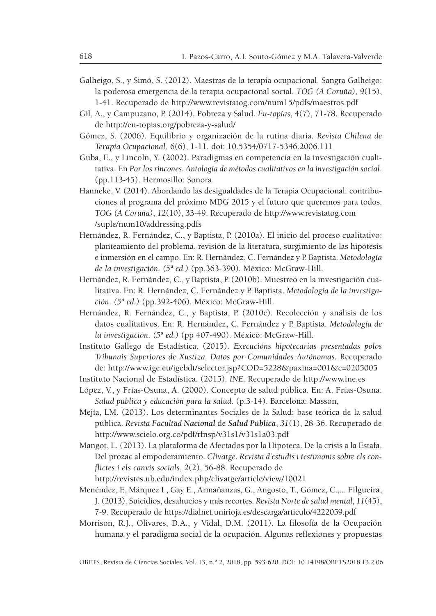- Galheigo, S., y Simó, S. (2012). Maestras de la terapia ocupacional. Sangra Galheigo: la poderosa emergencia de la terapia ocupacional social. *TOG (A Coruña)*, *9*(15), 1-41. Recuperado de http://www.revistatog.com/num15/pdfs/maestros.pdf
- Gil, A., y Campuzano, P. (2014). Pobreza y Salud. *Eu-topías*, 4(7), 71-78. Recuperado de http://eu-topias.org/pobreza-y-salud/
- Gómez, S. (2006). Equilibrio y organización de la rutina diaria. *Revista Chilena de Terapia Ocupacional*, 6(6), 1-11. doi: 10.5354/0717-5346.2006.111
- Guba, E., y Lincoln, Y. (2002). Paradigmas en competencia en la investigación cualitativa. En *Por los rincones. Antología de métodos cualitativos en la investigación social.* (pp.113-45). Hermosillo: Sonora.
- Hanneke, V. (2014). Abordando las desigualdades de la Terapia Ocupacional: contribuciones al programa del próximo MDG 2015 y el futuro que queremos para todos. *TOG (A Coruña)*, *12*(10), 33-49. Recuperado de http://www.revistatog.com /suple/num10/addressing.pdfs
- Hernández, R. Fernández, C., y Baptista, P. (2010a). El inicio del proceso cualitativo: planteamiento del problema, revisión de la literatura, surgimiento de las hipótesis e inmersión en el campo. En: R. Hernández, C. Fernández y P. Baptista. *Metodología de la investigación. (5ª ed.)* (pp.363-390). México: McGraw-Hill.
- Hernández, R. Fernández, C., y Baptista, P. (2010b). Muestreo en la investigación cualitativa. En: R. Hernández, C. Fernández y P. Baptista. *Metodología de la investigación*. *(5ª ed.)* (pp.392-406). México: McGraw-Hill.
- Hernández, R. Fernández, C., y Baptista, P. (2010c). Recolección y análisis de los datos cualitativos. En: R. Hernández, C. Fernández y P. Baptista. *Metodología de la investigación*. *(5ª ed.)* (pp 407-490). México: McGraw-Hill.
- Instituto Gallego de Estadística. (2015). *Execucións hipotecarias presentadas polos Tribunais Superiores de Xustiza. Datos por Comunidades Autónomas.* Recuperado de: http://www.ige.eu/igebdt/selector.jsp?COD=5228&paxina=001&c=0205005

Instituto Nacional de Estadística. (2015). *INE.* Recuperado de http://www.ine.es

- López, V., y Frías-Osuna, A. (2000). Concepto de salud pública. En: A. Frías-Osuna. *Salud pública y educación para la salud*. (p.3-14). Barcelona: Masson,
- Mejía, LM. (2013). Los determinantes Sociales de la Salud: base teórica de la salud pública. *Revista Facultad Nacional* de *Salud Pública*, *31*(1), 28-36. Recuperado de http://www.scielo.org.co/pdf/rfnsp/v31s1/v31s1a03.pdf
- Mangot, L. (2013). La plataforma de Afectados por la Hipoteca. De la crisis a la Estafa. Del prozac al empoderamiento. *Clivatge. Revista d'estudis i testimonis sobre els conflictes i els canvis socials*, *2*(2), 56-88. Recuperado de http://revistes.ub.edu/index.php/clivatge/article/view/10021
- Menéndez, F., Márquez I., Gay E., Armañanzas, G., Angosto, T., Gómez, C.,... Filgueira, J.(2013). Suicidios, desahucios y másrecortes. *Revista Norte de salud mental*, *11*(45), 7-9. Recuperado de https://dialnet.unirioja.es/descarga/articulo/4222059.pdf
- Morrison, R.J., Olivares, D.A., y Vidal, D.M. (2011). La filosofía de la Ocupación humana y el paradigma social de la ocupación. Algunas reflexiones y propuestas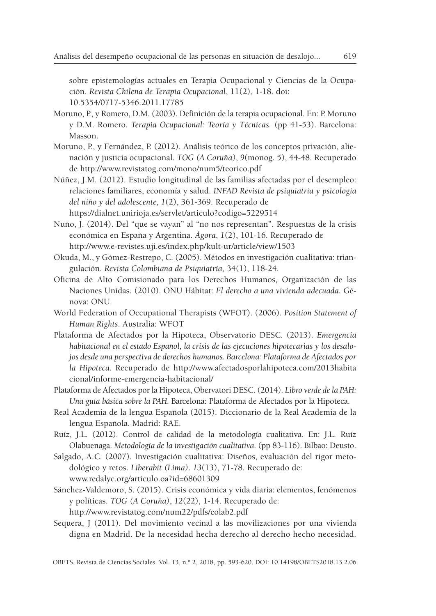sobre epistemologías actuales en Terapia Ocupacional y Ciencias de la Ocupación. *Revista Chilena de Terapia Ocupacional*, 11(2), 1-18. doi: 10.5354/0717-5346.2011.17785

- Moruno, P., y Romero, D.M. (2003). Definición de la terapia ocupacional. En: P. Moruno y D.M. Romero. *Terapia Ocupacional: Teoría y Técnicas*. (pp 41-53). Barcelona: Masson.
- Moruno, P., y Fernández, P. (2012). Análisis teórico de los conceptos privación, alienación y justicia ocupacional. *TOG (A Coruña)*, *9*(monog. 5), 44-48. Recuperado de http://www.revistatog.com/mono/num5/teorico.pdf
- Núñez, J.M. (2012). Estudio longitudinal de las familias afectadas por el desempleo: relaciones familiares, economía y salud. *INFAD Revista de psiquiatría y psicología del niño y del adolescente*, *1*(2), 361-369. Recuperado de https://dialnet.unirioja.es/servlet/articulo?codigo=5229514
- Nuño, J. (2014). Del "que se vayan" al "no nos representan". Respuestas de la crisis económica en España y Argentina. *Ágora*, *1*(2), 101-16. Recuperado de http://www.e-revistes.uji.es/index.php/kult-ur/article/view/1503
- Okuda, M., y Gómez-Restrepo, C. (2005). Métodos en investigación cualitativa: triangulación. *Revista Colombiana de Psiquiatría*, 34(1), 118-24.
- Oficina de Alto Comisionado para los Derechos Humanos, Organización de las Naciones Unidas. (2010). ONU Hábitat: *El derecho a una vivienda adecuada.* Génova: ONU.
- World Federation of Occupational Therapists (WFOT). (2006). *Position Statement of Human Rights*. Australia: WFOT
- Plataforma de Afectados por la Hipoteca, Observatorio DESC. (2013). *Emergencia habitacional en el estado Español, la crisis de las ejecuciones hipotecarias y los desalojos desde una perspectiva de derechos humanos. Barcelona: Plataforma de Afectados por la Hipoteca.* Recuperado de http://www.afectadosporlahipoteca.com/2013habita cional/informe-emergencia-habitacional/
- Plataforma de Afectados por la Hipoteca, Obervatori DESC.(2014). *Libro verde de la PAH: Una guía básica sobre la PAH.* Barcelona: Plataforma de Afectados por la Hipoteca.
- Real Academia de la lengua Española (2015). Diccionario de la Real Academia de la lengua Española. Madrid: RAE.
- Ruíz, J.L. (2012). Control de calidad de la metodología cualitativa. En: J.L. Ruíz Olabuenaga. *Metodología de la investigación cualitativa*. (pp 83-116). Bilbao: Deusto.
- Salgado, A.C. (2007). Investigación cualitativa: Diseños, evaluación del rigor metodológico y retos. *Liberabit (Lima)*. *13*(13), 71-78. Recuperado de: www.redalyc.org/articulo.oa?id=68601309
- Sánchez-Valdemoro, S. (2015). Crisis económica y vida diaria: elementos, fenómenos y políticas. *TOG (A Coruña)*, *12*(22), 1-14. Recuperado de: http://www.revistatog.com/num22/pdfs/colab2.pdf
- Sequera, J (2011). Del movimiento vecinal a las movilizaciones por una vivienda digna en Madrid. De la necesidad hecha derecho al derecho hecho necesidad.